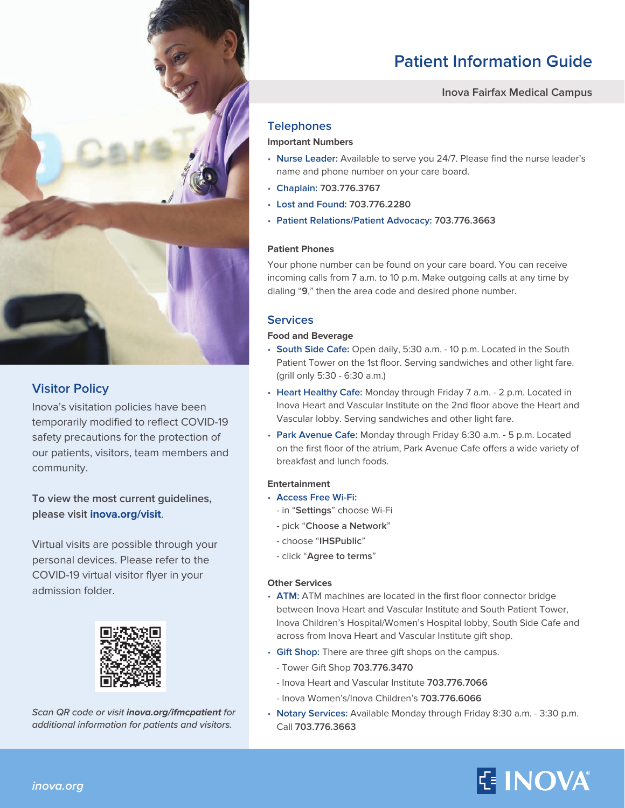

## **Visitor Policy**

Inova's visitation policies have been temporarily modified to reflect COVID-19 safety precautions for the protection of our patients, visitors, team members and community.

**To view the most current guidelines, please visit [inova.org/visit](http://www.inova.org/visit)**.

Virtual visits are possible through your personal devices. Please refer to the COVID-19 virtual visitor flyer in your admission folder.



*Scan QR code or visit* **[inova.org/ifmcpatient](http://www.inova.org/ifmcpatient)** *for additional information for patients and visitors.*

# **Patient Information Guide**

#### **Inova Fairfax Medical Campus**

### **Telephones**

#### **Important Numbers**

- **Nurse Leader:** Available to serve you 24/7. Please find the nurse leader's name and phone number on your care board.
- **Chaplain: 703.776.3767**
- **Lost and Found: 703.776.2280**
- **Patient Relations/Patient Advocacy: 703.776.3663**

#### **Patient Phones**

Your phone number can be found on your care board. You can receive incoming calls from 7 a.m. to 10 p.m. Make outgoing calls at any time by dialing "**9**," then the area code and desired phone number.

#### **Services**

#### **Food and Beverage**

- **South Side Cafe:** Open daily, 5:30 a.m. 10 p.m. Located in the South Patient Tower on the 1st floor. Serving sandwiches and other light fare. (grill only 5:30 - 6:30 a.m.)
- **Heart Healthy Cafe:** Monday through Friday 7 a.m. 2 p.m. Located in Inova Heart and Vascular Institute on the 2nd floor above the Heart and Vascular lobby. Serving sandwiches and other light fare.
- **Park Avenue Cafe:** Monday through Friday 6:30 a.m. 5 p.m. Located on the first floor of the atrium, Park Avenue Cafe offers a wide variety of breakfast and lunch foods.

#### **Entertainment**

- **Access Free Wi-Fi:** 
	- in "**Settings**" choose Wi-Fi
	- pick "**Choose a Network**"
	- choose "**IHSPublic**"
	- click "**Agree to terms**"

#### **Other Services**

- **ATM:** ATM machines are located in the first floor connector bridge between Inova Heart and Vascular Institute and South Patient Tower, Inova Children's Hospital/Women's Hospital lobby, South Side Cafe and across from Inova Heart and Vascular Institute gift shop.
- **Gift Shop:** There are three gift shops on the campus.
	- Tower Gift Shop **703.776.3470**
	- Inova Heart and Vascular Institute **703.776.7066**
	- Inova Women's/Inova Children's **703.776.6066**
- **Notary Services:** Available Monday through Friday 8:30 a.m. 3:30 p.m. Call **703.776.3663**